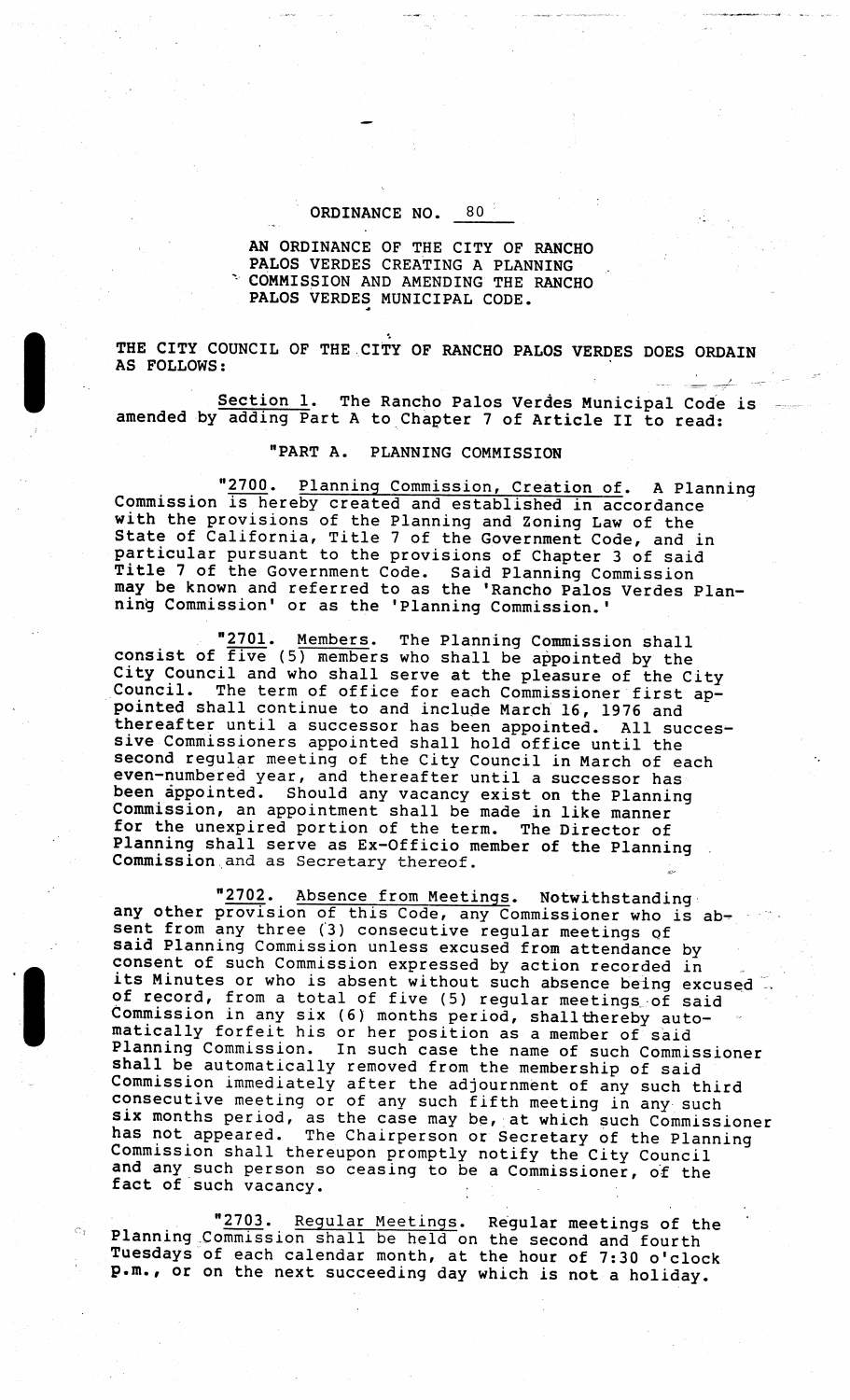## ORDINANCE NO. 80

AN ORDINANCE OF THE CITY OF RANCHO PALOS VERDES CREATING A PLANNING COMMISSION AND AMENDING THE RANCHO PALOS VERDES MUNICIPAL CODE.

THE CITY COUNCIL OF THE CITY OF RANCHO PALOS VERDES DOES ORDAIN AS FOLLOWS:

Section 1. The Rancho Palos Verdes Municipal Code is amended by adding Part <sup>A</sup> to Chapter <sup>7</sup> of Article II to read:

## PART A. PLANNING COMMISSION

"2700. Planning Commission, Creation of. A Planning Commission is hereby created and established in accordance with the provisions of the Planning and Zoning Law of the State of California, Title <sup>7</sup> of the Government Code, and in particular pursuant to the provisions of Chapter 3 of said particular pursuant to the provisions of Chapter 3 of Sai<br>Title 7 of the Government Code. Said Planning Commission may be known and referred to as the 'Rancho Palos Verdes Planning Commission' or as the 'Planning Commission. '

"2701. Members. The Planning Commission shall consist of  $five$  (5) members who shall be appointed by the City Council and who shall serve at the pleasure of the City crey council and who shall serve at the preasure of the City<br>Council. The term of office for each Commissioner first appointed shall continue to and include March 16 , 1976 and thereafter until <sup>a</sup> successor has been appointed. All successive Commissioners appointed shall hold office until the second regular meeting of the City Council in March of each even- numbered year , and thereafter until <sup>a</sup> successor has been appointed. Should any vacancy exist on the Planning Commission, an appointment shall be made in like manner for the unexpired portion of the term. The Director of Planning shall serve as Ex-Officio member of the Planning rianning snall serve as Ex-Officio m<br>Commission and as Secretary thereof.

2702. Absence from Meetings. Notwithstanding any other provision of this Code, any Commissioner who is absent from any three (3) consecutive regular meetings of said Planning Commission unless excused from attendance by consent of such Commission expressed by action recorded in consent of such commission expressed by action recorded in<br>its Minutes or who is absent without such absence being excused are initiated of who is absent without such absence being excu-<br>of record, from a total of five (5) regular meetings of said Commission in any six (6) months period, shall thereby autocommission in any six (6) months period, shall thereby aut<br>matically forfeit his or her position as a member of said Planning Commission. In such case the name of such Commissioner shall be automatically removed from the membership of said Commission immediately after the adjournment of any such third commission immediately after the adjournment of any such thi<br>consecutive meeting or of any such fifth meeting in any such six months period, as the case may be, at which such Commissioner has not appeared. The Chairperson or Secretary of the Planning<br>Commission shall thereupon promptly notify the City Council and any such person so ceasing to be <sup>a</sup> Commissioner, of the and any such person.

2703. Regular Meetings. Regular meetings of the "2703. Regular Meetings. Regular meetings of the Planning Commission shall be held on the second and fourth Tuesdays of each calendar month, at the hour of 7: <sup>30</sup> o' clock p. m. , or on the next succeeding day which is not <sup>a</sup> holiday.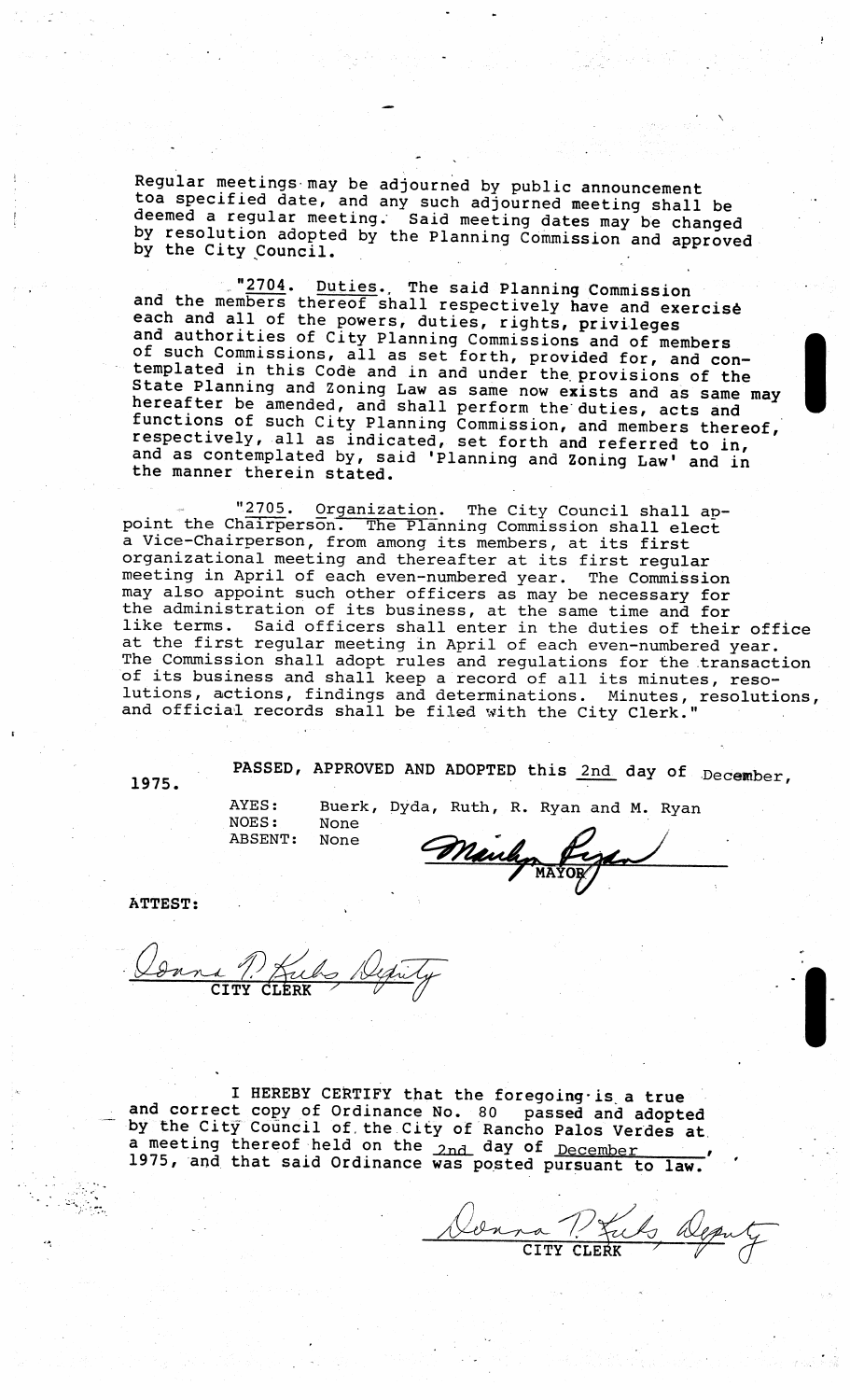Regular meetings may be adjourned by public announcement toa specified date, and any such adjourned meeting shall be deemed a regular meeting. Said meeting dates may be changed by resolution adopted by the Planning Commission and approved<br>by resolution adopted by the Planning Commission and approved by the City Council. The Framming Commission and app

"2704. Duties., The said Planning Commission and the members thereof shall respectively have and exercise each and all of the powers, duties, rights, privileges and authorities of City Planning Commissions and of members and ducholicies of City Pianning Commissions and of members<br>of such Commissions, all as set forth, provided for, and con-<br>templated in this Code and in and under the provisions of the State Planning and Zoning Law as same now exists and as same may hereafter be amended, and shall perform the duties, acts and functions of such City Planning Commission, and members thereof, respectively, all as indicated, set forth and referred to in, and as contemplated by, said 'Planning and Zonin<sup>g</sup> Law' and in the manner therein stated.

"2705. Organization. The City Council shall appoint the Chairperson. The Planning Commission shall elect <sup>a</sup> Vice- Chairperson, from among its members , at its first organizational meeting and thereafter at its first regular meeting in April of each even-numbered year. The Commission may also appoint such other officers as may be necessary for the administration of its business, at the same time and for Like doministration of its business, at the same time and for<br>like terms. Said officers shall enter in the duties of their office IIKE terms. Said Officers shall enter in the duties of their of:<br>at the first regular meeting in April of each even-numbered year. The Commission shall adopt rules and regulations for the transaction of its business and shall keep <sup>a</sup> record of all its minutes, resoof fest susfiness and shaft keep a fecord of all fits minutes, reso-<br>lutions, actions, findings and determinations. Minutes, resolutions, iucions, actions, findings and determinations. Minutes,<br>and official records shall be filed with the City Clerk."

PASSED, APPROVED AND ADOPTED this 2nd day of December,

None

AYES: Buerk, Dyda, Ruth, R. Ryan and M. Ryan<br>NOES: None ABSENT: None  $\mathcal{P}$ 

MAYOR,

ATTEST:

1 P. Kubs Dy

I HEREBY CERTIFY that the foregoing is a true and correct by copy of Ordinance No. 80 passed and adopted y the City Council of the City of Rancho Palos Verdes at a meeting thereof held on the 2nd day of December 1975, and that said Ordinance was posted pursuant to law.

.<br>P  $2n$ na  $\overline{D}$  $CITY$   $CLE\overline{K}$   $\qquad \qquad \qquad \qquad \qquad \qquad \qquad \qquad \qquad \qquad \qquad$